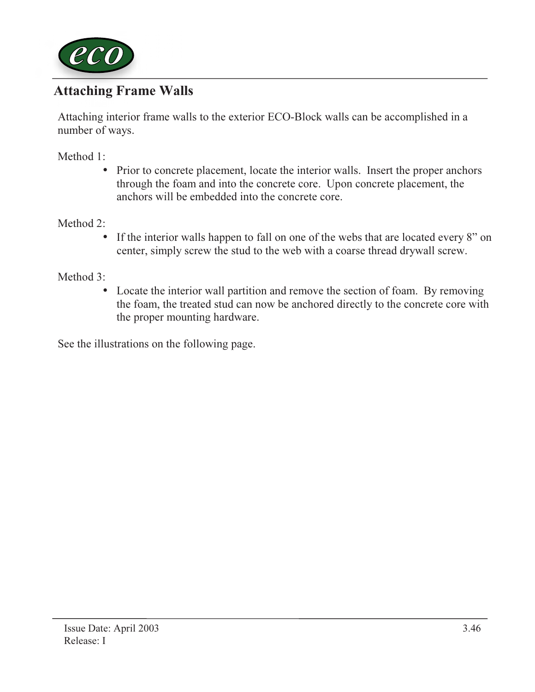

## Attaching Frame Walls

Attaching interior frame walls to the exterior ECO-Block walls can be accomplished in a number of ways.

Method 1:

• Prior to concrete placement, locate the interior walls. Insert the proper anchors through the foam and into the concrete core. Upon concrete placement, the anchors will be embedded into the concrete core.

### Method 2:

• If the interior walls happen to fall on one of the webs that are located every 8" on center, simply screw the stud to the web with a coarse thread drywall screw.

### Method 3:

• Locate the interior wall partition and remove the section of foam. By removing the foam, the treated stud can now be anchored directly to the concrete core with the proper mounting hardware.

See the illustrations on the following page.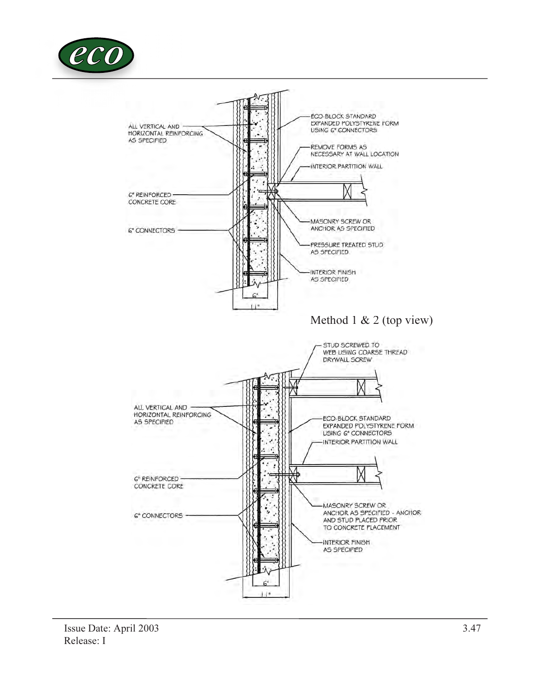